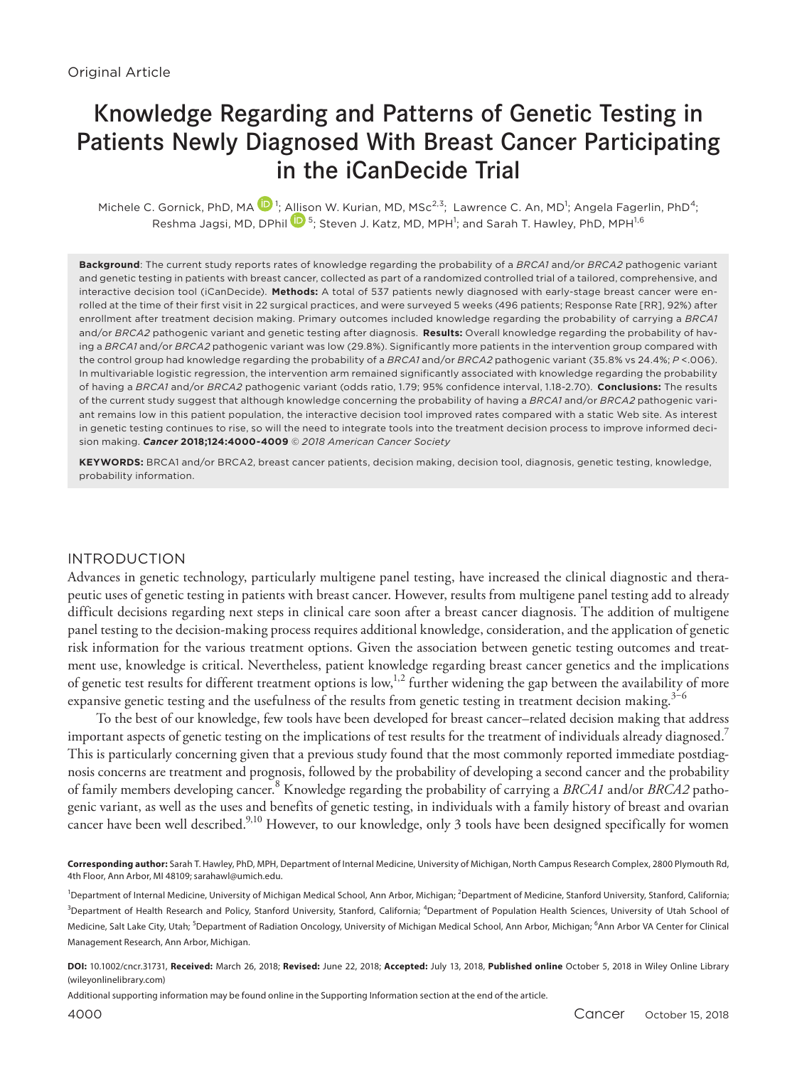# Knowledge Regarding and Patterns of Genetic Testing in Patients Newly Diagnosed With Breast Cancer Participating in the iCanDecide Trial

Michele C. Gornick, PhD, MA  $\mathbb{D}^1$ ; [Alliso](http://orcid.org/0000-0001-6562-1228)n W. Kurian, MD, MSc $^{2,3}$ ; Lawrence C. An, MD $^1$ ; Angela Fagerlin, PhD $^4$ ; Reshma Jagsi, MD, DPhil  $\overset{\bullet}{\bullet}$  <sup>5</sup>; Steven J. Katz, MD, MPH<sup>1</sup>; and Sarah T. Hawley, PhD, MPH<sup>1,6</sup>

**Background**: The current study reports rates of knowledge regarding the probability of a *BRCA1* and/or *BRCA2* pathogenic variant and genetic testing in patients with breast cancer, collected as part of a randomized controlled trial of a tailored, comprehensive, and interactive decision tool (iCanDecide). **Methods:** A total of 537 patients newly diagnosed with early-stage breast cancer were enrolled at the time of their first visit in 22 surgical practices, and were surveyed 5 weeks (496 patients; Response Rate [RR], 92%) after enrollment after treatment decision making. Primary outcomes included knowledge regarding the probability of carrying a *BRCA1* and/or *BRCA2* pathogenic variant and genetic testing after diagnosis. **Results:** Overall knowledge regarding the probability of having a *BRCA1* and/or *BRCA2* pathogenic variant was low (29.8%). Significantly more patients in the intervention group compared with the control group had knowledge regarding the probability of a *BRCA1* and/or *BRCA2* pathogenic variant (35.8% vs 24.4%; *P* <.006). In multivariable logistic regression, the intervention arm remained significantly associated with knowledge regarding the probability of having a *BRCA1* and/or *BRCA2* pathogenic variant (odds ratio, 1.79; 95% confidence interval, 1.18-2.70). **Conclusions:** The results of the current study suggest that although knowledge concerning the probability of having a *BRCA1* and/or *BRCA2* pathogenic variant remains low in this patient population, the interactive decision tool improved rates compared with a static Web site. As interest in genetic testing continues to rise, so will the need to integrate tools into the treatment decision process to improve informed decision making. *Cancer* **2018;124:4000-4009** *© 2018 American Cancer Society*

**KEYWORDS:** BRCA1 and/or BRCA2, breast cancer patients, decision making, decision tool, diagnosis, genetic testing, knowledge, probability information.

## INTRODUCTION

Advances in genetic technology, particularly multigene panel testing, have increased the clinical diagnostic and therapeutic uses of genetic testing in patients with breast cancer. However, results from multigene panel testing add to already difficult decisions regarding next steps in clinical care soon after a breast cancer diagnosis. The addition of multigene panel testing to the decision-making process requires additional knowledge, consideration, and the application of genetic risk information for the various treatment options. Given the association between genetic testing outcomes and treatment use, knowledge is critical. Nevertheless, patient knowledge regarding breast cancer genetics and the implications of genetic test results for different treatment options is low,<sup>1,2</sup> further widening the gap between the availability of more expansive genetic testing and the usefulness of the results from genetic testing in treatment decision making. $3<sup>5-6</sup>$ 

To the best of our knowledge, few tools have been developed for breast cancer–related decision making that address important aspects of genetic testing on the implications of test results for the treatment of individuals already diagnosed.<sup>7</sup> This is particularly concerning given that a previous study found that the most commonly reported immediate postdiagnosis concerns are treatment and prognosis, followed by the probability of developing a second cancer and the probability of family members developing cancer.<sup>8</sup> Knowledge regarding the probability of carrying a *BRCA1* and/or *BRCA2* pathogenic variant, as well as the uses and benefits of genetic testing, in individuals with a family history of breast and ovarian cancer have been well described.<sup>9,10</sup> However, to our knowledge, only 3 tools have been designed specifically for women

**DOI:** 10.1002/cncr.31731, **Received:** March 26, 2018; **Revised:** June 22, 2018; **Accepted:** July 13, 2018, **Published online** October 5, 2018 in Wiley Online Library (wileyonlinelibrary.com)

Additional supporting information may be found online in the Supporting Information section at the end of the article.

**Corresponding author:** Sarah T. Hawley, PhD, MPH, Department of Internal Medicine, University of Michigan, North Campus Research Complex, 2800 Plymouth Rd, 4th Floor, Ann Arbor, MI 48109; [sarahawl@umich.edu](mailto:sarahawl@umich.edu).

<sup>&</sup>lt;sup>1</sup>Department of Internal Medicine, University of Michigan Medical School, Ann Arbor, Michigan; <sup>2</sup>Department of Medicine, Stanford University, Stanford, California; <sup>3</sup>Department of Health Research and Policy, Stanford University, Stanford, California; <sup>4</sup>Department of Population Health Sciences, University of Utah School of Medicine, Salt Lake City, Utah; <sup>5</sup>Department of Radiation Oncology, University of Michigan Medical School, Ann Arbor, Michigan; <sup>6</sup>Ann Arbor VA Center for Clinical Management Research, Ann Arbor, Michigan.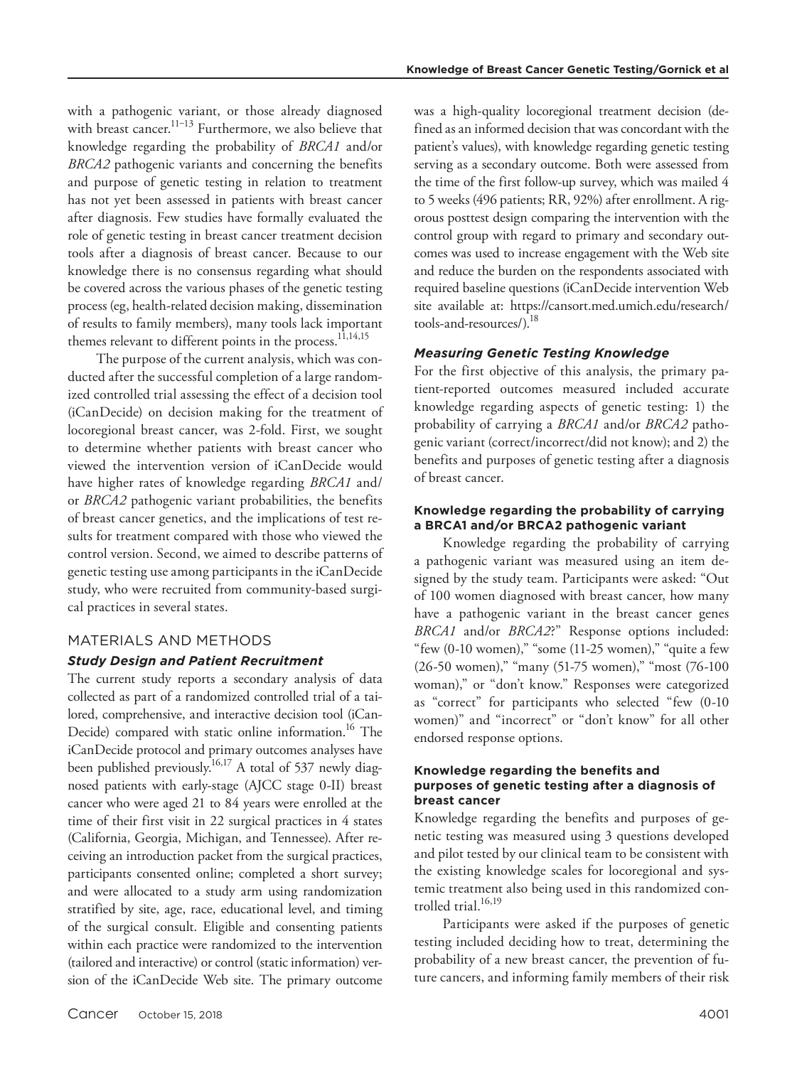with a pathogenic variant, or those already diagnosed with breast cancer.<sup>11-13</sup> Furthermore, we also believe that knowledge regarding the probability of *BRCA1* and/or *BRCA2* pathogenic variants and concerning the benefits and purpose of genetic testing in relation to treatment has not yet been assessed in patients with breast cancer after diagnosis. Few studies have formally evaluated the role of genetic testing in breast cancer treatment decision tools after a diagnosis of breast cancer. Because to our knowledge there is no consensus regarding what should be covered across the various phases of the genetic testing process (eg, health-related decision making, dissemination of results to family members), many tools lack important themes relevant to different points in the process.<sup>11,14,15</sup>

The purpose of the current analysis, which was conducted after the successful completion of a large randomized controlled trial assessing the effect of a decision tool (iCanDecide) on decision making for the treatment of locoregional breast cancer, was 2-fold. First, we sought to determine whether patients with breast cancer who viewed the intervention version of iCanDecide would have higher rates of knowledge regarding *BRCA1* and/ or *BRCA2* pathogenic variant probabilities, the benefits of breast cancer genetics, and the implications of test results for treatment compared with those who viewed the control version. Second, we aimed to describe patterns of genetic testing use among participants in the iCanDecide study, who were recruited from community-based surgical practices in several states.

# MATERIALS AND METHODS

# *Study Design and Patient Recruitment*

The current study reports a secondary analysis of data collected as part of a randomized controlled trial of a tailored, comprehensive, and interactive decision tool (iCan-Decide) compared with static online information.<sup>16</sup> The iCanDecide protocol and primary outcomes analyses have been published previously.<sup>16,17</sup> A total of 537 newly diagnosed patients with early-stage (AJCC stage 0-II) breast cancer who were aged 21 to 84 years were enrolled at the time of their first visit in 22 surgical practices in 4 states (California, Georgia, Michigan, and Tennessee). After receiving an introduction packet from the surgical practices, participants consented online; completed a short survey; and were allocated to a study arm using randomization stratified by site, age, race, educational level, and timing of the surgical consult. Eligible and consenting patients within each practice were randomized to the intervention (tailored and interactive) or control (static information) version of the iCanDecide Web site. The primary outcome was a high-quality locoregional treatment decision (defined as an informed decision that was concordant with the patient's values), with knowledge regarding genetic testing serving as a secondary outcome. Both were assessed from the time of the first follow-up survey, which was mailed 4 to 5 weeks (496 patients; RR, 92%) after enrollment. A rigorous posttest design comparing the intervention with the control group with regard to primary and secondary outcomes was used to increase engagement with the Web site and reduce the burden on the respondents associated with required baseline questions (iCanDecide intervention Web site available at: [https://cansort.med.umich.edu/research/](https://cansort.med.umich.edu/research/tools-and-resources/).) [tools-and-resources/\).](https://cansort.med.umich.edu/research/tools-and-resources/).)18

# *Measuring Genetic Testing Knowledge*

For the first objective of this analysis, the primary patient-reported outcomes measured included accurate knowledge regarding aspects of genetic testing: 1) the probability of carrying a *BRCA1* and/or *BRCA2* pathogenic variant (correct/incorrect/did not know); and 2) the benefits and purposes of genetic testing after a diagnosis of breast cancer.

## **Knowledge regarding the probability of carrying a BRCA1 and/or BRCA2 pathogenic variant**

Knowledge regarding the probability of carrying a pathogenic variant was measured using an item designed by the study team. Participants were asked: "Out of 100 women diagnosed with breast cancer, how many have a pathogenic variant in the breast cancer genes *BRCA1* and/or *BRCA2*?" Response options included: "few  $(0-10$  women)," "some  $(11-25$  women)," "quite a few (26-50 women)," "many (51-75 women)," "most (76-100 woman)," or "don't know." Responses were categorized as "correct" for participants who selected "few (0-10 women)" and "incorrect" or "don't know" for all other endorsed response options.

#### **Knowledge regarding the benefits and purposes of genetic testing after a diagnosis of breast cancer**

Knowledge regarding the benefits and purposes of genetic testing was measured using 3 questions developed and pilot tested by our clinical team to be consistent with the existing knowledge scales for locoregional and systemic treatment also being used in this randomized controlled trial.<sup>16,19</sup>

Participants were asked if the purposes of genetic testing included deciding how to treat, determining the probability of a new breast cancer, the prevention of future cancers, and informing family members of their risk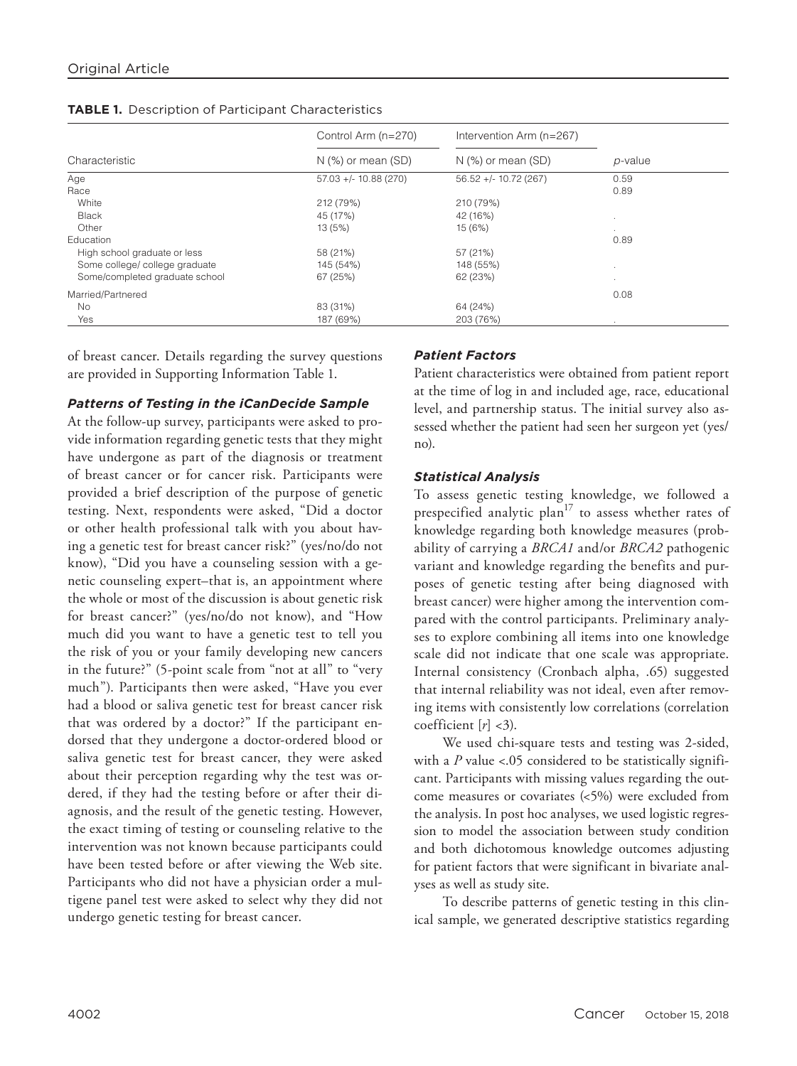|  |  |  | <b>TABLE 1.</b> Description of Participant Characteristics |
|--|--|--|------------------------------------------------------------|
|--|--|--|------------------------------------------------------------|

|                                | Control Arm (n=270)     | Intervention Arm (n=267) | p-value |
|--------------------------------|-------------------------|--------------------------|---------|
| Characteristic                 | $N$ (%) or mean (SD)    | $N$ (%) or mean (SD)     |         |
| Age                            | $57.03 + (-10.88(270))$ | $56.52 + (-10.72(267))$  | 0.59    |
| Race                           |                         |                          | 0.89    |
| White                          | 212 (79%)               | 210 (79%)                |         |
| <b>Black</b>                   | 45 (17%)                | 42 (16%)                 |         |
| Other                          | 13(5%)                  | 15 (6%)                  |         |
| Education                      |                         |                          | 0.89    |
| High school graduate or less   | 58 (21%)                | 57 (21%)                 |         |
| Some college/ college graduate | 145 (54%)               | 148 (55%)                |         |
| Some/completed graduate school | 67 (25%)                | 62 (23%)                 | ٠       |
| Married/Partnered              |                         |                          | 0.08    |
| <b>No</b>                      | 83 (31%)                | 64 (24%)                 |         |
| Yes                            | 187 (69%)               | 203 (76%)                |         |

of breast cancer. Details regarding the survey questions are provided in Supporting Information Table 1.

## *Patterns of Testing in the iCanDecide Sample*

At the follow-up survey, participants were asked to provide information regarding genetic tests that they might have undergone as part of the diagnosis or treatment of breast cancer or for cancer risk. Participants were provided a brief description of the purpose of genetic testing. Next, respondents were asked, "Did a doctor or other health professional talk with you about having a genetic test for breast cancer risk?" (yes/no/do not know), "Did you have a counseling session with a genetic counseling expert–that is, an appointment where the whole or most of the discussion is about genetic risk for breast cancer?" (yes/no/do not know), and "How much did you want to have a genetic test to tell you the risk of you or your family developing new cancers in the future?" (5-point scale from "not at all" to "very much"). Participants then were asked, "Have you ever had a blood or saliva genetic test for breast cancer risk that was ordered by a doctor?" If the participant endorsed that they undergone a doctor-ordered blood or saliva genetic test for breast cancer, they were asked about their perception regarding why the test was ordered, if they had the testing before or after their diagnosis, and the result of the genetic testing. However, the exact timing of testing or counseling relative to the intervention was not known because participants could have been tested before or after viewing the Web site. Participants who did not have a physician order a multigene panel test were asked to select why they did not undergo genetic testing for breast cancer.

# *Patient Factors*

Patient characteristics were obtained from patient report at the time of log in and included age, race, educational level, and partnership status. The initial survey also assessed whether the patient had seen her surgeon yet (yes/ no).

## *Statistical Analysis*

To assess genetic testing knowledge, we followed a prespecified analytic plan<sup>17</sup> to assess whether rates of knowledge regarding both knowledge measures (probability of carrying a *BRCA1* and/or *BRCA2* pathogenic variant and knowledge regarding the benefits and purposes of genetic testing after being diagnosed with breast cancer) were higher among the intervention compared with the control participants. Preliminary analyses to explore combining all items into one knowledge scale did not indicate that one scale was appropriate. Internal consistency (Cronbach alpha, .65) suggested that internal reliability was not ideal, even after removing items with consistently low correlations (correlation coefficient [*r*] <3).

We used chi-square tests and testing was 2-sided, with a *P* value <.05 considered to be statistically significant. Participants with missing values regarding the outcome measures or covariates (<5%) were excluded from the analysis. In post hoc analyses, we used logistic regression to model the association between study condition and both dichotomous knowledge outcomes adjusting for patient factors that were significant in bivariate analyses as well as study site.

To describe patterns of genetic testing in this clinical sample, we generated descriptive statistics regarding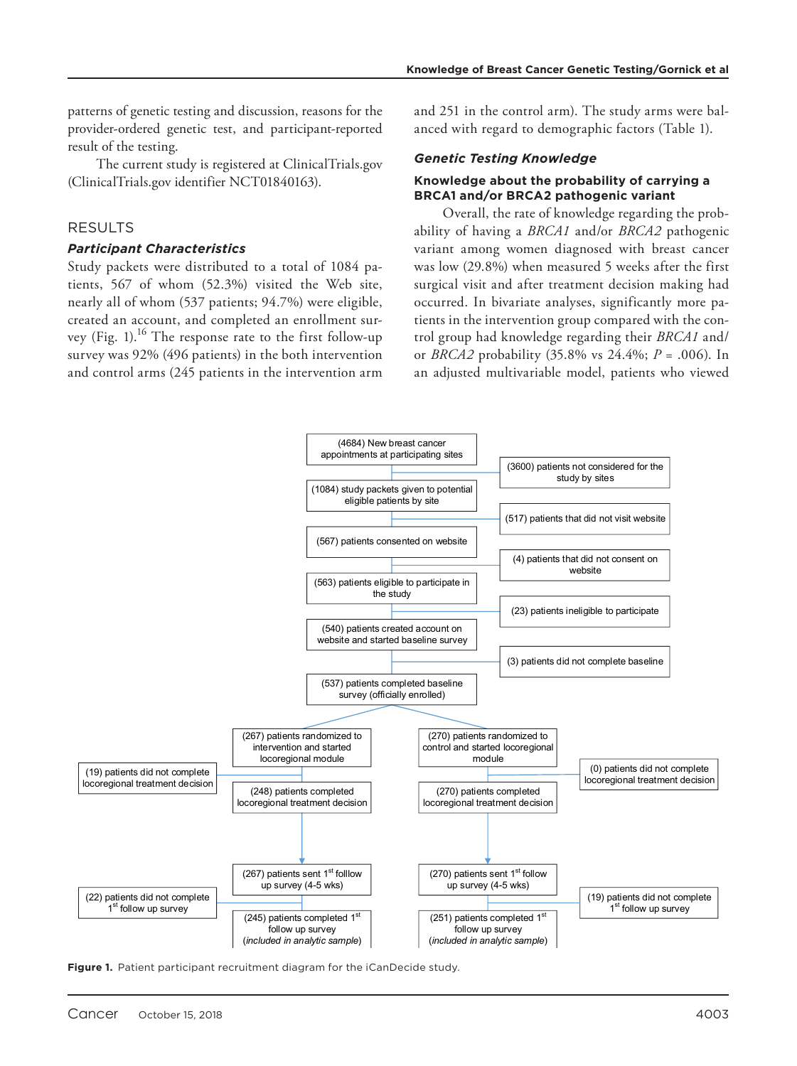patterns of genetic testing and discussion, reasons for the provider-ordered genetic test, and participant-reported result of the testing.

The current study is registered at ClinicalTrials.gov (ClinicalTrials.gov identifier NCT01840163).

# RESULTS

## *Participant Characteristics*

Study packets were distributed to a total of 1084 patients, 567 of whom (52.3%) visited the Web site, nearly all of whom (537 patients; 94.7%) were eligible, created an account, and completed an enrollment survey (Fig. 1).<sup>16</sup> The response rate to the first follow-up survey was 92% (496 patients) in the both intervention and control arms (245 patients in the intervention arm

and 251 in the control arm). The study arms were balanced with regard to demographic factors (Table 1).

#### *Genetic Testing Knowledge*

## **Knowledge about the probability of carrying a BRCA1 and/or BRCA2 pathogenic variant**

Overall, the rate of knowledge regarding the probability of having a *BRCA1* and/or *BRCA2* pathogenic variant among women diagnosed with breast cancer was low (29.8%) when measured 5 weeks after the first surgical visit and after treatment decision making had occurred. In bivariate analyses, significantly more patients in the intervention group compared with the control group had knowledge regarding their *BRCA1* and/ or *BRCA2* probability (35.8% vs 24.4%; *P* = .006). In an adjusted multivariable model, patients who viewed



**Figure 1.** Patient participant recruitment diagram for the iCanDecide study.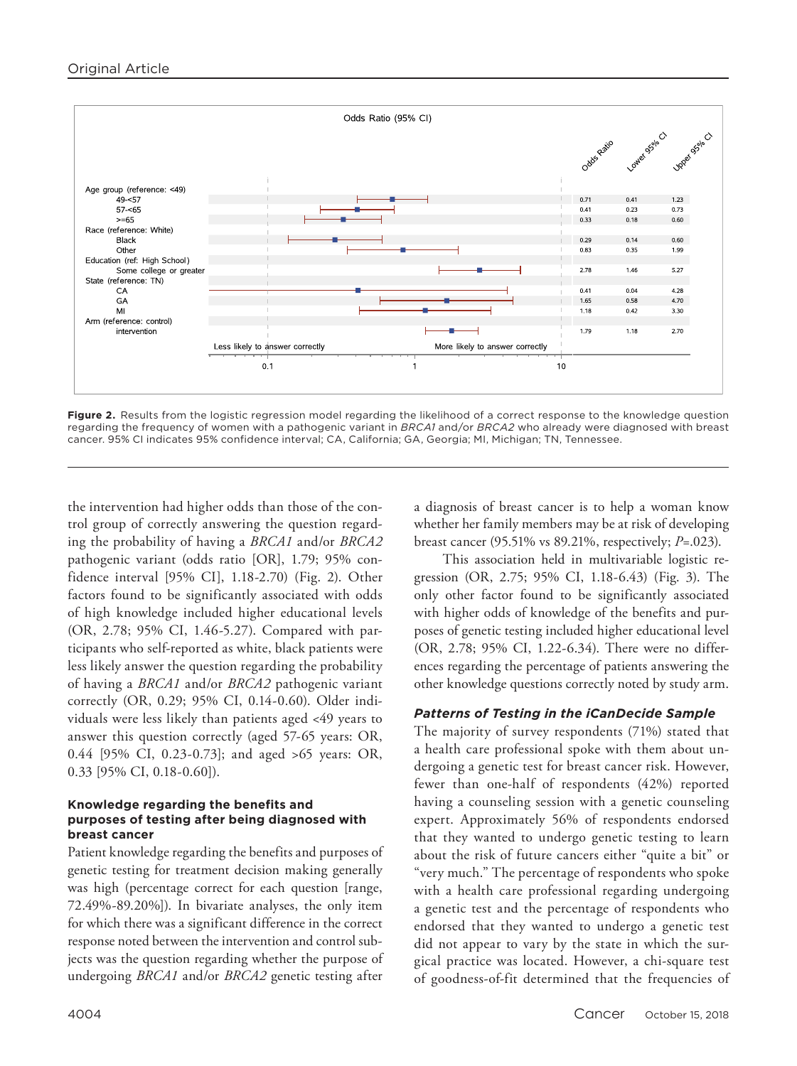

Figure 2. Results from the logistic regression model regarding the likelihood of a correct response to the knowledge question regarding the frequency of women with a pathogenic variant in *BRCA1* and/or *BRCA2* who already were diagnosed with breast cancer. 95% CI indicates 95% confidence interval; CA, California; GA, Georgia; MI, Michigan; TN, Tennessee.

the intervention had higher odds than those of the control group of correctly answering the question regarding the probability of having a *BRCA1* and/or *BRCA2* pathogenic variant (odds ratio [OR], 1.79; 95% confidence interval [95% CI], 1.18-2.70) (Fig. 2). Other factors found to be significantly associated with odds of high knowledge included higher educational levels (OR, 2.78; 95% CI, 1.46-5.27). Compared with participants who self-reported as white, black patients were less likely answer the question regarding the probability of having a *BRCA1* and/or *BRCA2* pathogenic variant correctly (OR, 0.29; 95% CI, 0.14-0.60). Older individuals were less likely than patients aged <49 years to answer this question correctly (aged 57-65 years: OR, 0.44 [95% CI, 0.23-0.73]; and aged >65 years: OR, 0.33 [95% CI, 0.18-0.60]).

## **Knowledge regarding the benefits and purposes of testing after being diagnosed with breast cancer**

Patient knowledge regarding the benefits and purposes of genetic testing for treatment decision making generally was high (percentage correct for each question [range, 72.49%-89.20%]). In bivariate analyses, the only item for which there was a significant difference in the correct response noted between the intervention and control subjects was the question regarding whether the purpose of undergoing *BRCA1* and/or *BRCA2* genetic testing after a diagnosis of breast cancer is to help a woman know whether her family members may be at risk of developing breast cancer (95.51% vs 89.21%, respectively; *P*=.023).

This association held in multivariable logistic regression (OR, 2.75; 95% CI, 1.18-6.43) (Fig. 3). The only other factor found to be significantly associated with higher odds of knowledge of the benefits and purposes of genetic testing included higher educational level (OR, 2.78; 95% CI, 1.22-6.34). There were no differences regarding the percentage of patients answering the other knowledge questions correctly noted by study arm.

# *Patterns of Testing in the iCanDecide Sample*

The majority of survey respondents (71%) stated that a health care professional spoke with them about undergoing a genetic test for breast cancer risk. However, fewer than one-half of respondents (42%) reported having a counseling session with a genetic counseling expert. Approximately 56% of respondents endorsed that they wanted to undergo genetic testing to learn about the risk of future cancers either "quite a bit" or "very much." The percentage of respondents who spoke with a health care professional regarding undergoing a genetic test and the percentage of respondents who endorsed that they wanted to undergo a genetic test did not appear to vary by the state in which the surgical practice was located. However, a chi-square test of goodness-of-fit determined that the frequencies of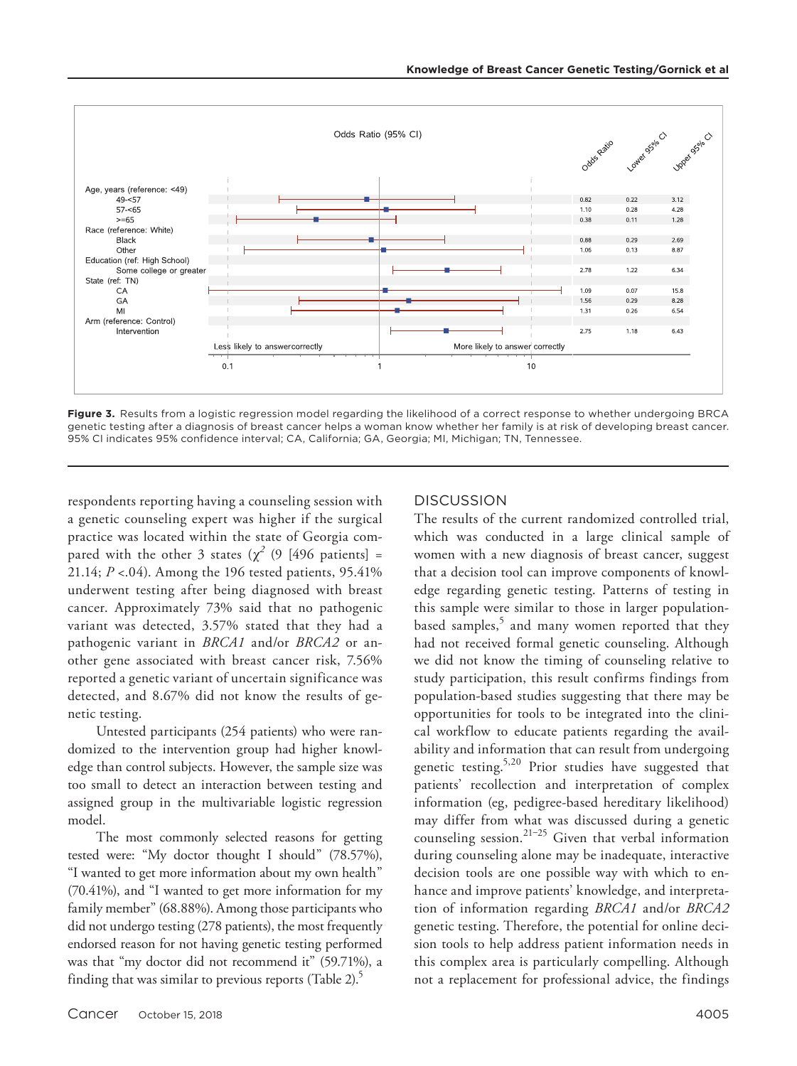

**Figure 3.** Results from a logistic regression model regarding the likelihood of a correct response to whether undergoing BRCA genetic testing after a diagnosis of breast cancer helps a woman know whether her family is at risk of developing breast cancer. 95% CI indicates 95% confidence interval; CA, California; GA, Georgia; MI, Michigan; TN, Tennessee.

respondents reporting having a counseling session with a genetic counseling expert was higher if the surgical practice was located within the state of Georgia compared with the other 3 states ( $\chi^2$  (9 [496 patients] = 21.14; *P* <.04). Among the 196 tested patients, 95.41% underwent testing after being diagnosed with breast cancer. Approximately 73% said that no pathogenic variant was detected, 3.57% stated that they had a pathogenic variant in *BRCA1* and/or *BRCA2* or another gene associated with breast cancer risk, 7.56% reported a genetic variant of uncertain significance was detected, and 8.67% did not know the results of genetic testing.

Untested participants (254 patients) who were randomized to the intervention group had higher knowledge than control subjects. However, the sample size was too small to detect an interaction between testing and assigned group in the multivariable logistic regression model.

The most commonly selected reasons for getting tested were: "My doctor thought I should" (78.57%), "I wanted to get more information about my own health" (70.41%), and "I wanted to get more information for my family member" (68.88%). Among those participants who did not undergo testing (278 patients), the most frequently endorsed reason for not having genetic testing performed was that "my doctor did not recommend it" (59.71%), a finding that was similar to previous reports (Table 2).<sup>5</sup>

#### **DISCUSSION**

The results of the current randomized controlled trial, which was conducted in a large clinical sample of women with a new diagnosis of breast cancer, suggest that a decision tool can improve components of knowledge regarding genetic testing. Patterns of testing in this sample were similar to those in larger populationbased samples,<sup>5</sup> and many women reported that they had not received formal genetic counseling. Although we did not know the timing of counseling relative to study participation, this result confirms findings from population-based studies suggesting that there may be opportunities for tools to be integrated into the clinical workflow to educate patients regarding the availability and information that can result from undergoing genetic testing.<sup>5,20</sup> Prior studies have suggested that patients' recollection and interpretation of complex information (eg, pedigree-based hereditary likelihood) may differ from what was discussed during a genetic counseling session.<sup>21-25</sup> Given that verbal information during counseling alone may be inadequate, interactive decision tools are one possible way with which to enhance and improve patients' knowledge, and interpretation of information regarding *BRCA1* and/or *BRCA2* genetic testing. Therefore, the potential for online decision tools to help address patient information needs in this complex area is particularly compelling. Although not a replacement for professional advice, the findings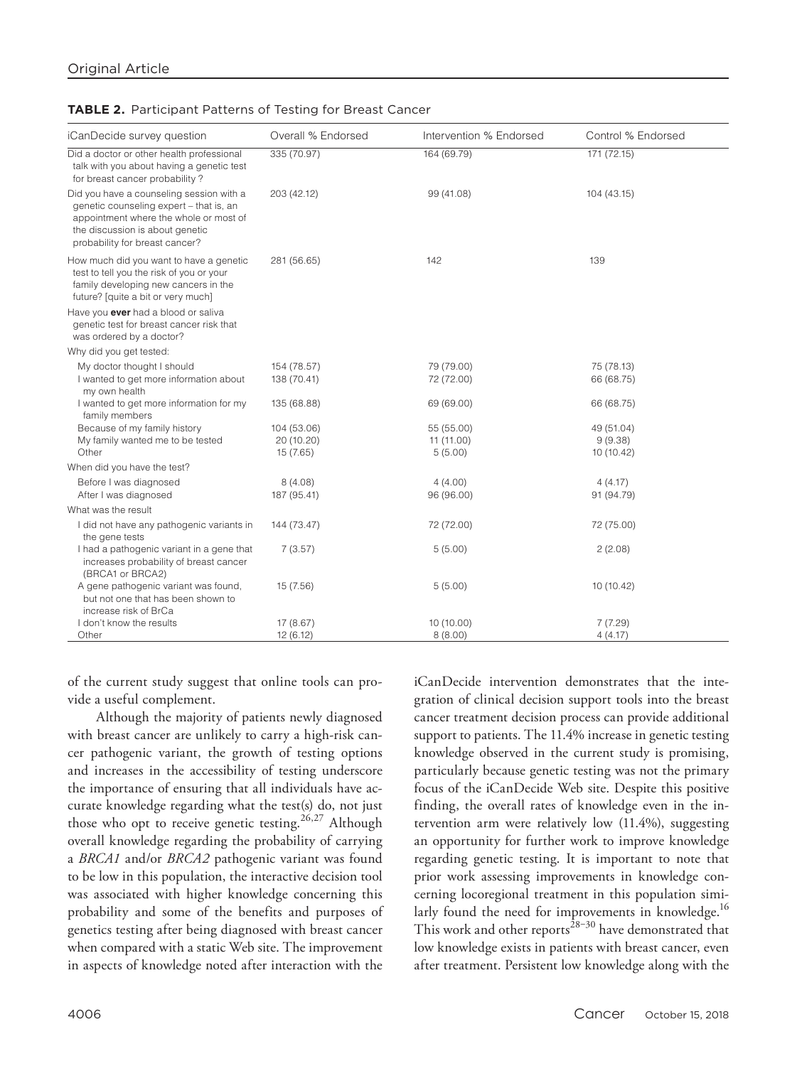| TABLE 2. Participant Patterns of Testing for Breast Cancer |  |
|------------------------------------------------------------|--|
|------------------------------------------------------------|--|

| iCanDecide survey question                                                                                                                                                                         | Overall % Endorsed         | Intervention % Endorsed  | Control % Endorsed       |
|----------------------------------------------------------------------------------------------------------------------------------------------------------------------------------------------------|----------------------------|--------------------------|--------------------------|
| Did a doctor or other health professional<br>talk with you about having a genetic test<br>for breast cancer probability?                                                                           | 335 (70.97)                | 164 (69.79)              | 171(72.15)               |
| Did you have a counseling session with a<br>genetic counseling expert - that is, an<br>appointment where the whole or most of<br>the discussion is about genetic<br>probability for breast cancer? | 203 (42.12)                | 99 (41.08)               | 104 (43.15)              |
| How much did you want to have a genetic<br>test to tell you the risk of you or your<br>family developing new cancers in the<br>future? [quite a bit or very much]                                  | 281 (56.65)                | 142                      | 139                      |
| Have you ever had a blood or saliva<br>genetic test for breast cancer risk that<br>was ordered by a doctor?                                                                                        |                            |                          |                          |
| Why did you get tested:                                                                                                                                                                            |                            |                          |                          |
| My doctor thought I should<br>I wanted to get more information about<br>my own health                                                                                                              | 154 (78.57)<br>138 (70.41) | 79 (79.00)<br>72 (72.00) | 75 (78.13)<br>66 (68.75) |
| I wanted to get more information for my<br>family members                                                                                                                                          | 135 (68.88)                | 69 (69.00)               | 66 (68.75)               |
| Because of my family history                                                                                                                                                                       | 104 (53.06)                | 55 (55.00)               | 49 (51.04)               |
| My family wanted me to be tested<br>Other                                                                                                                                                          | 20 (10.20)<br>15 (7.65)    | 11 (11.00)<br>5(5.00)    | 9(9.38)<br>10(10.42)     |
| When did you have the test?                                                                                                                                                                        |                            |                          |                          |
| Before I was diagnosed<br>After I was diagnosed                                                                                                                                                    | 8(4.08)<br>187 (95.41)     | 4(4.00)<br>96 (96.00)    | 4(4.17)<br>91 (94.79)    |
| What was the result                                                                                                                                                                                |                            |                          |                          |
| I did not have any pathogenic variants in<br>the gene tests                                                                                                                                        | 144 (73.47)                | 72 (72.00)               | 72 (75.00)               |
| I had a pathogenic variant in a gene that<br>increases probability of breast cancer<br>(BRCA1 or BRCA2)                                                                                            | 7(3.57)                    | 5(5.00)                  | 2(2.08)                  |
| A gene pathogenic variant was found,<br>but not one that has been shown to<br>increase risk of BrCa                                                                                                | 15 (7.56)                  | 5(5.00)                  | 10 (10.42)               |
| I don't know the results                                                                                                                                                                           | 17(8.67)                   | 10(10.00)                | 7(7.29)                  |
| Other                                                                                                                                                                                              | 12(6.12)                   | 8(8.00)                  | 4(4.17)                  |

of the current study suggest that online tools can provide a useful complement.

Although the majority of patients newly diagnosed with breast cancer are unlikely to carry a high-risk cancer pathogenic variant, the growth of testing options and increases in the accessibility of testing underscore the importance of ensuring that all individuals have accurate knowledge regarding what the test(s) do, not just those who opt to receive genetic testing.<sup>26,27</sup> Although overall knowledge regarding the probability of carrying a *BRCA1* and/or *BRCA2* pathogenic variant was found to be low in this population, the interactive decision tool was associated with higher knowledge concerning this probability and some of the benefits and purposes of genetics testing after being diagnosed with breast cancer when compared with a static Web site. The improvement in aspects of knowledge noted after interaction with the

iCanDecide intervention demonstrates that the integration of clinical decision support tools into the breast cancer treatment decision process can provide additional support to patients. The 11.4% increase in genetic testing knowledge observed in the current study is promising, particularly because genetic testing was not the primary focus of the iCanDecide Web site. Despite this positive finding, the overall rates of knowledge even in the intervention arm were relatively low (11.4%), suggesting an opportunity for further work to improve knowledge regarding genetic testing. It is important to note that prior work assessing improvements in knowledge concerning locoregional treatment in this population similarly found the need for improvements in knowledge.<sup>16</sup> This work and other reports<sup> $28-30$ </sup> have demonstrated that low knowledge exists in patients with breast cancer, even after treatment. Persistent low knowledge along with the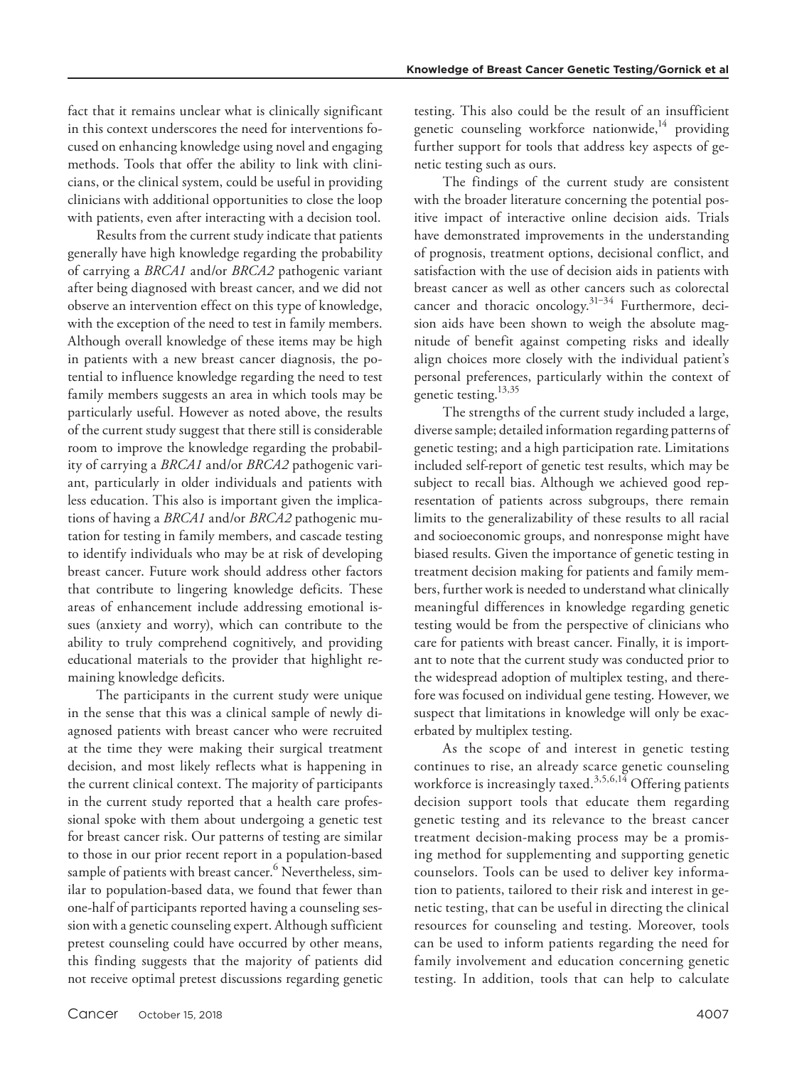fact that it remains unclear what is clinically significant in this context underscores the need for interventions focused on enhancing knowledge using novel and engaging methods. Tools that offer the ability to link with clinicians, or the clinical system, could be useful in providing clinicians with additional opportunities to close the loop with patients, even after interacting with a decision tool.

Results from the current study indicate that patients generally have high knowledge regarding the probability of carrying a *BRCA1* and/or *BRCA2* pathogenic variant after being diagnosed with breast cancer, and we did not observe an intervention effect on this type of knowledge, with the exception of the need to test in family members. Although overall knowledge of these items may be high in patients with a new breast cancer diagnosis, the potential to influence knowledge regarding the need to test family members suggests an area in which tools may be particularly useful. However as noted above, the results of the current study suggest that there still is considerable room to improve the knowledge regarding the probability of carrying a *BRCA1* and/or *BRCA2* pathogenic variant, particularly in older individuals and patients with less education. This also is important given the implications of having a *BRCA1* and/or *BRCA2* pathogenic mutation for testing in family members, and cascade testing to identify individuals who may be at risk of developing breast cancer. Future work should address other factors that contribute to lingering knowledge deficits. These areas of enhancement include addressing emotional issues (anxiety and worry), which can contribute to the ability to truly comprehend cognitively, and providing educational materials to the provider that highlight remaining knowledge deficits.

The participants in the current study were unique in the sense that this was a clinical sample of newly diagnosed patients with breast cancer who were recruited at the time they were making their surgical treatment decision, and most likely reflects what is happening in the current clinical context. The majority of participants in the current study reported that a health care professional spoke with them about undergoing a genetic test for breast cancer risk. Our patterns of testing are similar to those in our prior recent report in a population-based sample of patients with breast cancer.<sup>6</sup> Nevertheless, similar to population-based data, we found that fewer than one-half of participants reported having a counseling session with a genetic counseling expert. Although sufficient pretest counseling could have occurred by other means, this finding suggests that the majority of patients did not receive optimal pretest discussions regarding genetic

testing. This also could be the result of an insufficient genetic counseling workforce nationwide, $14$  providing further support for tools that address key aspects of genetic testing such as ours.

The findings of the current study are consistent with the broader literature concerning the potential positive impact of interactive online decision aids. Trials have demonstrated improvements in the understanding of prognosis, treatment options, decisional conflict, and satisfaction with the use of decision aids in patients with breast cancer as well as other cancers such as colorectal cancer and thoracic oncology. $31-34$  Furthermore, decision aids have been shown to weigh the absolute magnitude of benefit against competing risks and ideally align choices more closely with the individual patient's personal preferences, particularly within the context of genetic testing.13,35

The strengths of the current study included a large, diverse sample; detailed information regarding patterns of genetic testing; and a high participation rate. Limitations included self-report of genetic test results, which may be subject to recall bias. Although we achieved good representation of patients across subgroups, there remain limits to the generalizability of these results to all racial and socioeconomic groups, and nonresponse might have biased results. Given the importance of genetic testing in treatment decision making for patients and family members, further work is needed to understand what clinically meaningful differences in knowledge regarding genetic testing would be from the perspective of clinicians who care for patients with breast cancer. Finally, it is important to note that the current study was conducted prior to the widespread adoption of multiplex testing, and therefore was focused on individual gene testing. However, we suspect that limitations in knowledge will only be exacerbated by multiplex testing.

As the scope of and interest in genetic testing continues to rise, an already scarce genetic counseling workforce is increasingly taxed.<sup>3,5,6,14</sup> Offering patients decision support tools that educate them regarding genetic testing and its relevance to the breast cancer treatment decision-making process may be a promising method for supplementing and supporting genetic counselors. Tools can be used to deliver key information to patients, tailored to their risk and interest in genetic testing, that can be useful in directing the clinical resources for counseling and testing. Moreover, tools can be used to inform patients regarding the need for family involvement and education concerning genetic testing. In addition, tools that can help to calculate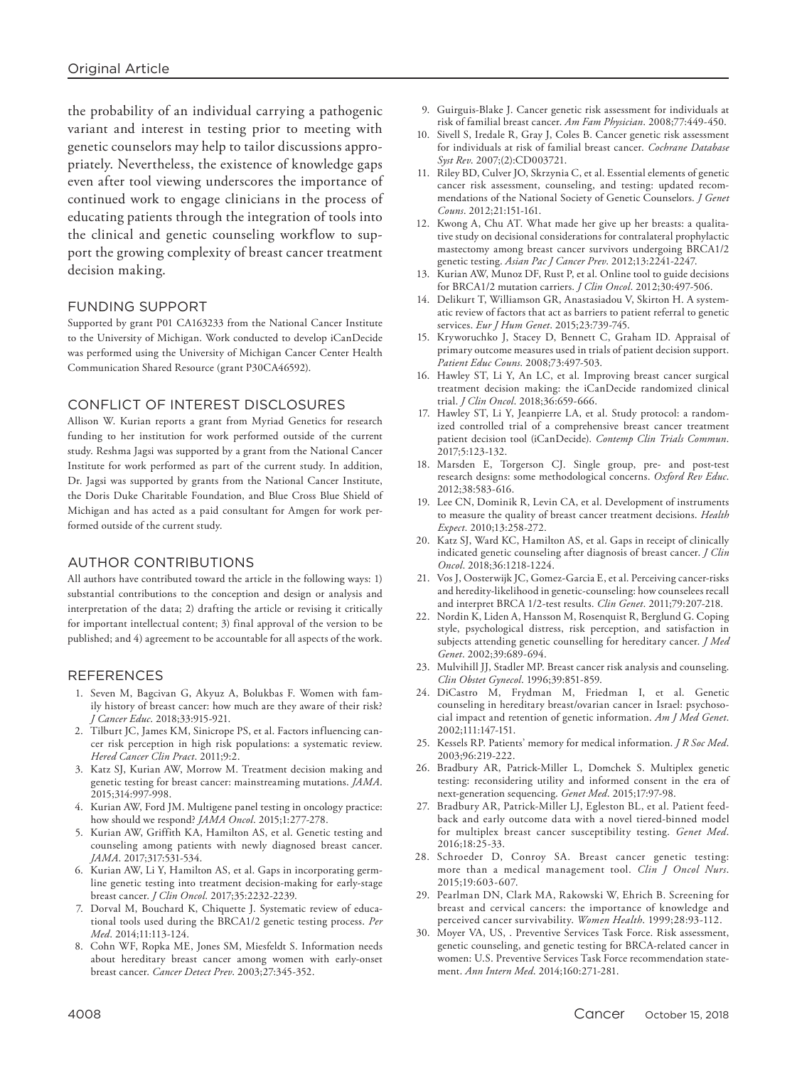the probability of an individual carrying a pathogenic variant and interest in testing prior to meeting with genetic counselors may help to tailor discussions appropriately. Nevertheless, the existence of knowledge gaps even after tool viewing underscores the importance of continued work to engage clinicians in the process of educating patients through the integration of tools into the clinical and genetic counseling workflow to support the growing complexity of breast cancer treatment decision making.

#### FUNDING SUPPORT

Supported by grant P01 CA163233 from the National Cancer Institute to the University of Michigan. Work conducted to develop iCanDecide was performed using the University of Michigan Cancer Center Health Communication Shared Resource (grant P30CA46592).

#### CONFLICT OF INTEREST DISCLOSURES

Allison W. Kurian reports a grant from Myriad Genetics for research funding to her institution for work performed outside of the current study. Reshma Jagsi was supported by a grant from the National Cancer Institute for work performed as part of the current study. In addition, Dr. Jagsi was supported by grants from the National Cancer Institute, the Doris Duke Charitable Foundation, and Blue Cross Blue Shield of Michigan and has acted as a paid consultant for Amgen for work performed outside of the current study.

#### AUTHOR CONTRIBUTIONS

All authors have contributed toward the article in the following ways: 1) substantial contributions to the conception and design or analysis and interpretation of the data; 2) drafting the article or revising it critically for important intellectual content; 3) final approval of the version to be published; and 4) agreement to be accountable for all aspects of the work.

#### REFERENCES

- 1. Seven M, Bagcivan G, Akyuz A, Bolukbas F. Women with family history of breast cancer: how much are they aware of their risk? *J Cancer Educ*. 2018;33:915-921.
- 2. Tilburt JC, James KM, Sinicrope PS, et al. Factors influencing cancer risk perception in high risk populations: a systematic review. *Hered Cancer Clin Pract*. 2011;9:2.
- 3. Katz SJ, Kurian AW, Morrow M. Treatment decision making and genetic testing for breast cancer: mainstreaming mutations. *JAMA*. 2015;314:997-998.
- 4. Kurian AW, Ford JM. Multigene panel testing in oncology practice: how should we respond? *JAMA Oncol*. 2015;1:277-278.
- 5. Kurian AW, Griffith KA, Hamilton AS, et al. Genetic testing and counseling among patients with newly diagnosed breast cancer. *JAMA*. 2017;317:531-534.
- 6. Kurian AW, Li Y, Hamilton AS, et al. Gaps in incorporating germline genetic testing into treatment decision-making for early-stage breast cancer. *J Clin Oncol*. 2017;35:2232-2239.
- 7. Dorval M, Bouchard K, Chiquette J. Systematic review of educational tools used during the BRCA1/2 genetic testing process. *Per Med*. 2014;11:113-124.
- 8. Cohn WF, Ropka ME, Jones SM, Miesfeldt S. Information needs about hereditary breast cancer among women with early-onset breast cancer. *Cancer Detect Prev*. 2003;27:345-352.
- 9. Guirguis-Blake J. Cancer genetic risk assessment for individuals at risk of familial breast cancer. *Am Fam Physician*. 2008;77:449-450.
- 10. Sivell S, Iredale R, Gray J, Coles B. Cancer genetic risk assessment for individuals at risk of familial breast cancer. *Cochrane Database Syst Rev*. 2007;(2):CD003721.
- 11. Riley BD, Culver JO, Skrzynia C, et al. Essential elements of genetic cancer risk assessment, counseling, and testing: updated recommendations of the National Society of Genetic Counselors. *J Genet Couns*. 2012;21:151-161.
- 12. Kwong A, Chu AT. What made her give up her breasts: a qualitative study on decisional considerations for contralateral prophylactic mastectomy among breast cancer survivors undergoing BRCA1/2 genetic testing. *Asian Pac J Cancer Prev*. 2012;13:2241-2247.
- 13. Kurian AW, Munoz DF, Rust P, et al. Online tool to guide decisions for BRCA1/2 mutation carriers. *J Clin Oncol*. 2012;30:497-506.
- 14. Delikurt T, Williamson GR, Anastasiadou V, Skirton H. A systematic review of factors that act as barriers to patient referral to genetic services. *Eur J Hum Genet*. 2015;23:739-745.
- 15. Kryworuchko J, Stacey D, Bennett C, Graham ID. Appraisal of primary outcome measures used in trials of patient decision support. *Patient Educ Couns*. 2008;73:497-503.
- 16. Hawley ST, Li Y, An LC, et al. Improving breast cancer surgical treatment decision making: the iCanDecide randomized clinical trial. *J Clin Oncol*. 2018;36:659-666.
- 17. Hawley ST, Li Y, Jeanpierre LA, et al. Study protocol: a randomized controlled trial of a comprehensive breast cancer treatment patient decision tool (iCanDecide). *Contemp Clin Trials Commun*. 2017;5:123-132.
- 18. Marsden E, Torgerson CJ. Single group, pre- and post-test research designs: some methodological concerns. *Oxford Rev Educ*. 2012;38:583-616.
- 19. Lee CN, Dominik R, Levin CA, et al. Development of instruments to measure the quality of breast cancer treatment decisions. *Health Expect*. 2010;13:258-272.
- 20. Katz SJ, Ward KC, Hamilton AS, et al. Gaps in receipt of clinically indicated genetic counseling after diagnosis of breast cancer. *J Clin Oncol*. 2018;36:1218-1224.
- 21. Vos J, Oosterwijk JC, Gomez-Garcia E, et al. Perceiving cancer-risks and heredity-likelihood in genetic-counseling: how counselees recall and interpret BRCA 1/2-test results. *Clin Genet*. 2011;79:207-218.
- 22. Nordin K, Liden A, Hansson M, Rosenquist R, Berglund G. Coping style, psychological distress, risk perception, and satisfaction in subjects attending genetic counselling for hereditary cancer. *J Med Genet*. 2002;39:689-694.
- 23. Mulvihill JJ, Stadler MP. Breast cancer risk analysis and counseling. *Clin Obstet Gynecol*. 1996;39:851-859.
- 24. DiCastro M, Frydman M, Friedman I, et al. Genetic counseling in hereditary breast/ovarian cancer in Israel: psychosocial impact and retention of genetic information. *Am J Med Genet*. 2002;111:147-151.
- 25. Kessels RP. Patients' memory for medical information. *J R Soc Med*. 2003;96:219-222.
- 26. Bradbury AR, Patrick-Miller L, Domchek S. Multiplex genetic testing: reconsidering utility and informed consent in the era of next-generation sequencing. *Genet Med*. 2015;17:97-98.
- 27. Bradbury AR, Patrick-Miller LJ, Egleston BL, et al. Patient feedback and early outcome data with a novel tiered-binned model for multiplex breast cancer susceptibility testing. *Genet Med*. 2016;18:25-33.
- 28. Schroeder D, Conroy SA. Breast cancer genetic testing: more than a medical management tool. *Clin J Oncol Nurs*. 2015;19:603-607.
- 29. Pearlman DN, Clark MA, Rakowski W, Ehrich B. Screening for breast and cervical cancers: the importance of knowledge and perceived cancer survivability. *Women Health*. 1999;28:93-112.
- 30. Moyer VA, US, . Preventive Services Task Force. Risk assessment, genetic counseling, and genetic testing for BRCA-related cancer in women: U.S. Preventive Services Task Force recommendation statement. *Ann Intern Med*. 2014;160:271-281.